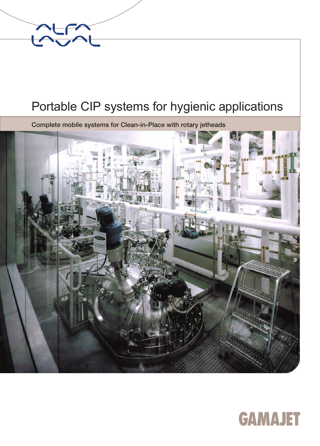

### Portable CIP systems for hygienic applications

Complete mobile systems for Clean-in-Place with rotary jetheads



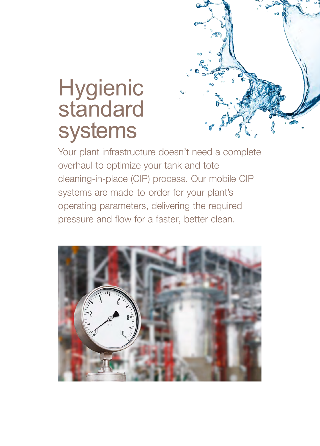

### **Hygienic** standard systems

Your plant infrastructure doesn't need a complete overhaul to optimize your tank and tote cleaning-in-place (CIP) process. Our mobile CIP systems are made-to-order for your plant's operating parameters, delivering the required pressure and flow for a faster, better clean.

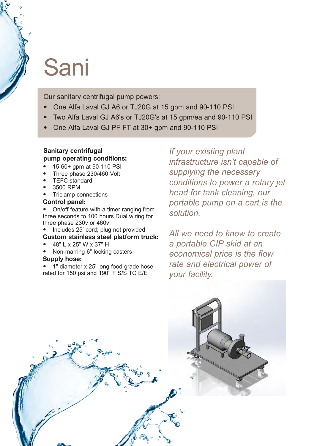### Sani

Our sanitary centrifugal pump powers:

- One Alfa Laval GJ A6 or TJ20G at 15 gpm and 90-110 PSI
- Two Alfa Laval GJ A6's or TJ20G's at 15 gpm/ea and 90-110 PSI
- One Alfa Laval GJ PF FT at 30+ gpm and 90-110 PSI

#### **Sanitary centrifugal p**ump operating conditions:

- 15-60+ gpm at 90-110 PSI
- Three phase 230/460 Volt
- **TEFC** standard
- 3500 RPM
- Triclamp connections

#### Control panel:

• On/off feature with a timer ranging from three seconds to 100 hours Dual wiring for three phase 230v or 460v

- Includes 25' cord; plug not provided Custom stainless steel platform truck:
- 48" L x 25" W x 37" H
- Non-marring 6" locking casters

#### Supply hose:

• 1" diameter x 25' long food grade hose rated for 150 psi and 190° F S/S TC E/E

*If your existing plant infrastructure isn't capable of supplying the necessary conditions to power a rotary jet head for tank cleaning, our portable pump on a cart is the solution.* 

*All we need to know to create a portable CIP skid at an economical price is the flow rate and electrical power of your facility.* 

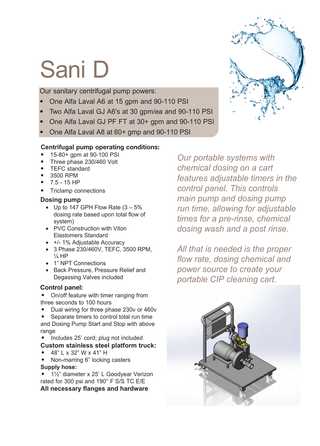# Sani D

Our sanitary centrifugal pump powers:

- One Alfa Laval A6 at 15 gpm and 90-110 PSI
- Two Alfa Laval GJ A6's at 30 gpm/ea and 90-110 PSI
- One Alfa Laval GJ PF FT at 30+ gpm and 90-110 PSI
- One Alfa Laval A8 at 60+ gmp and 90-110 PSI

#### **Centrifugal p**ump operating conditions:

- 15-80+ gpm at 90-100 PSI
- Three phase 230/460 Volt
- TEFC standard
- 3500 RPM
- 7.5 15 HP
- Triclamp connections

#### **Dosing pump**

- Up to 147 GPH Flow Rate  $(3 5\%)$ dosing rate based upon total flow of system)
- PVC Construction with Viton Elastomers Standard
- +/- 1% Adjustable Accuracy
- 3 Phase 230/460V, TEFC, 3500 RPM,  $\frac{1}{4}$  HP
- 1" NPT Connections
- Back Pressure, Pressure Relief and Degassing Valves included

#### Control panel:

- On/off feature with timer ranging from three seconds to 100 hours
- Dual wiring for three phase 230v or 460v

Separate timers to control total run time and Dosing Pump Start and Stop with above range

- Includes 25' cord; plug not included **Custom stainless steel platform truck:**
- 48" L x 32" W x 41" H
- Non-marring 6" locking casters **Supply hose:**

• 1½" diameter x 25' L Goodyear Verizon rated for 300 psi and 190° F S/S TC E/E

**All necessary flanges and hardware** 

*Our portable systems with chemical dosing on a cart features adjustable timers in the control panel. This controls main pump and dosing pump run time, allowing for adjustable times for a pre-rinse, chemical dosing wash and a post rinse.*

*All that is needed is the proper flow rate, dosing chemical and power source to create your portable CIP cleaning cart.*



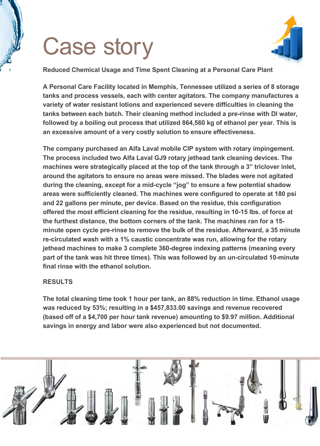## Case story



**Reduced Chemical Usage and Time Spent Cleaning at a Personal Care Plant**

**A Personal Care Facility located in Memphis, Tennessee utilized a series of 8 storage tanks and process vessels, each with center agitators. The company manufactures a variety of water resistant lotions and experienced severe difficulties in cleaning the tanks between each batch. Their cleaning method included a pre-rinse with DI water, followed by a boiling out process that utilized 864,560 kg of ethanol per year. This is an excessive amount of a very costly solution to ensure effectiveness.**

**The company purchased an Alfa Laval mobile CIP system with rotary impingement. The process included two Alfa Laval GJ9 rotary jethead tank cleaning devices. The machines were strategically placed at the top of the tank through a 3" triclover inlet, around the agitators to ensure no areas were missed. The blades were not agitated during the cleaning, except for a mid-cycle "jog" to ensure a few potential shadow areas were sufficiently cleaned. The machines were configured to operate at 180 psi and 22 gallons per minute, per device. Based on the residue, this configuration offered the most efficient cleaning for the residue, resulting in 10-15 lbs. of force at the furthest distance, the bottom corners of the tank. The machines ran for a 15 minute open cycle pre-rinse to remove the bulk of the residue. Afterward, a 35 minute re-circulated wash with a 1% caustic concentrate was run, allowing for the rotary jethead machines to make 3 complete 360-degree indexing patterns (meaning every part of the tank was hit three times). This was followed by an un-circulated 10-minute final rinse with the ethanol solution.**

#### **RESULTS**

**The total cleaning time took 1 hour per tank, an 88% reduction in time. Ethanol usage was reduced by 53%; resulting in a \$457,833.00 savings and revenue recovered (based off of a \$4,700 per hour tank revenue) amounting to \$9.97 million. Additional savings in energy and labor were also experienced but not documented.**